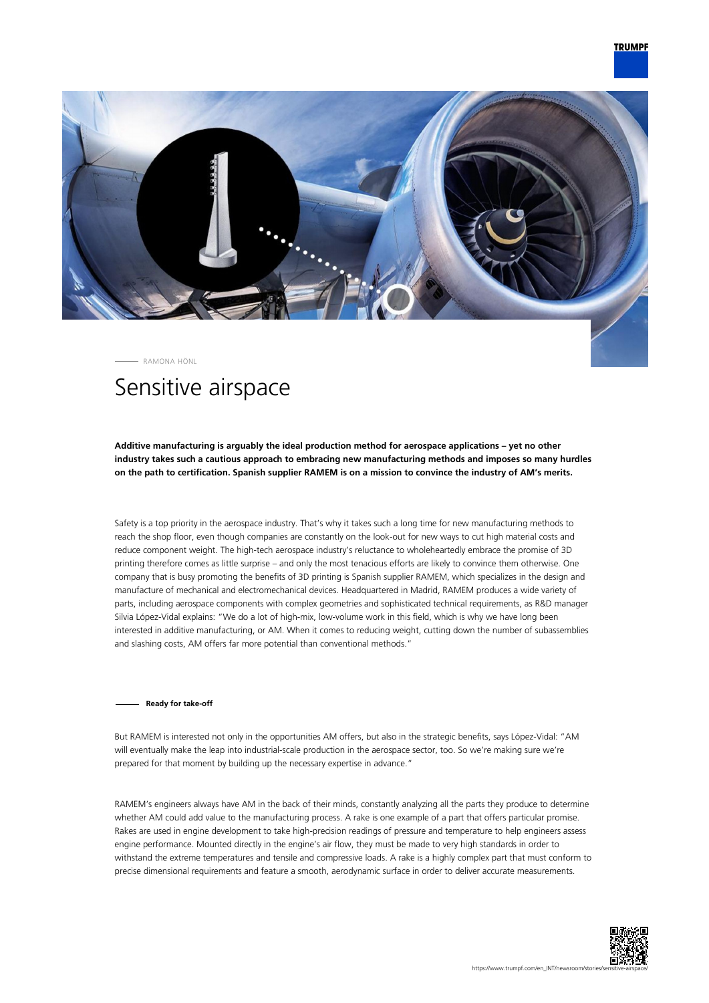

RAMONA HÖNL

# Sensitive airspace

**Additive manufacturing is arguably the ideal production method for aerospace applications – yet no other industry takes such a cautious approach to embracing new manufacturing methods and imposes so many hurdles on the path to certification. Spanish supplier RAMEM is on a mission to convince the industry of AM's merits.**

Safety is a top priority in the aerospace industry. That's why it takes such a long time for new manufacturing methods to reach the shop floor, even though companies are constantly on the look-out for new ways to cut high material costs and reduce component weight. The high-tech aerospace industry's reluctance to wholeheartedly embrace the promise of 3D printing therefore comes as little surprise – and only the most tenacious efforts are likely to convince them otherwise. One company that is busy promoting the benefits of 3D printing is Spanish supplier RAMEM, which specializes in the design and manufacture of mechanical and electromechanical devices. Headquartered in Madrid, RAMEM produces a wide variety of parts, including aerospace components with complex geometries and sophisticated technical requirements, as R&D manager Silvia López-Vidal explains: "We do a lot of high-mix, low-volume work in this field, which is why we have long been interested in additive manufacturing, or AM. When it comes to reducing weight, cutting down the number of subassemblies and slashing costs, AM offers far more potential than conventional methods."

**Ready for take-off**

But RAMEM is interested not only in the opportunities AM offers, but also in the strategic benefits, says López-Vidal: "AM will eventually make the leap into industrial-scale production in the aerospace sector, too. So we're making sure we're prepared for that moment by building up the necessary expertise in advance."

RAMEM's engineers always have AM in the back of their minds, constantly analyzing all the parts they produce to determine whether AM could add value to the manufacturing process. A rake is one example of a part that offers particular promise. Rakes are used in engine development to take high-precision readings of pressure and temperature to help engineers assess engine performance. Mounted directly in the engine's air flow, they must be made to very high standards in order to withstand the extreme temperatures and tensile and compressive loads. A rake is a highly complex part that must conform to precise dimensional requirements and feature a smooth, aerodynamic surface in order to deliver accurate measurements.

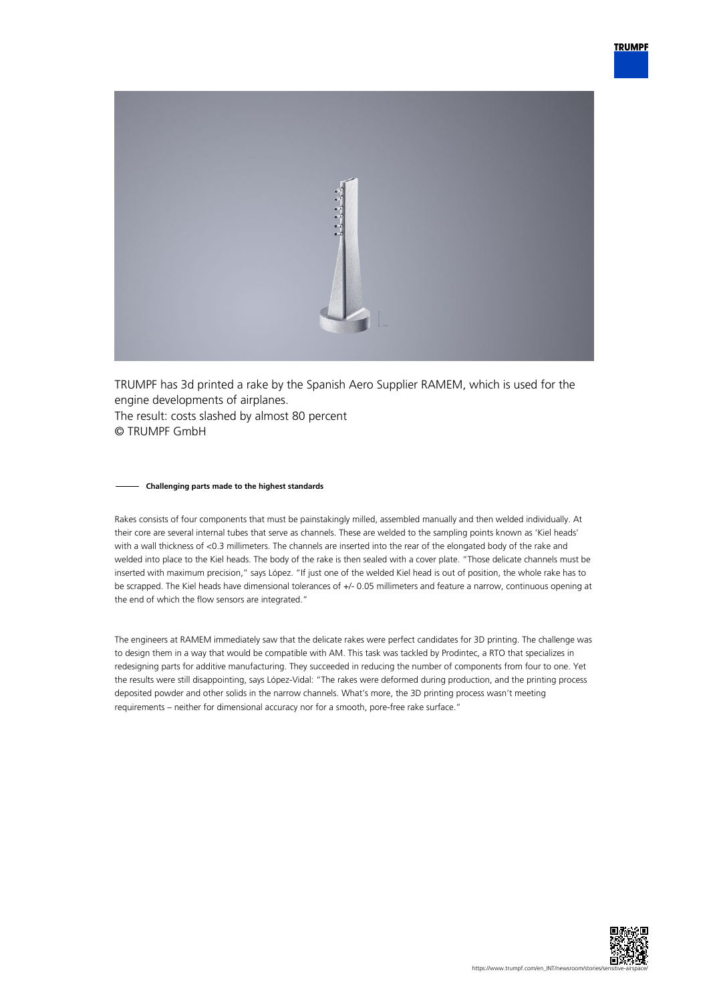

TRUMPF has 3d printed a rake by the Spanish Aero Supplier RAMEM, which is used for the engine developments of airplanes. The result: costs slashed by almost 80 percent © TRUMPF GmbH

### **Challenging parts made to the highest standards**

Rakes consists of four components that must be painstakingly milled, assembled manually and then welded individually. At their core are several internal tubes that serve as channels. These are welded to the sampling points known as 'Kiel heads' with a wall thickness of <0.3 millimeters. The channels are inserted into the rear of the elongated body of the rake and welded into place to the Kiel heads. The body of the rake is then sealed with a cover plate. "Those delicate channels must be inserted with maximum precision," says López. "If just one of the welded Kiel head is out of position, the whole rake has to be scrapped. The Kiel heads have dimensional tolerances of +/- 0.05 millimeters and feature a narrow, continuous opening at the end of which the flow sensors are integrated."

The engineers at RAMEM immediately saw that the delicate rakes were perfect candidates for 3D printing. The challenge was to design them in a way that would be compatible with AM. This task was tackled by Prodintec, a RTO that specializes in redesigning parts for additive manufacturing. They succeeded in reducing the number of components from four to one. Yet the results were still disappointing, says López-Vidal: "The rakes were deformed during production, and the printing process deposited powder and other solids in the narrow channels. What's more, the 3D printing process wasn't meeting requirements – neither for dimensional accuracy nor for a smooth, pore-free rake surface."

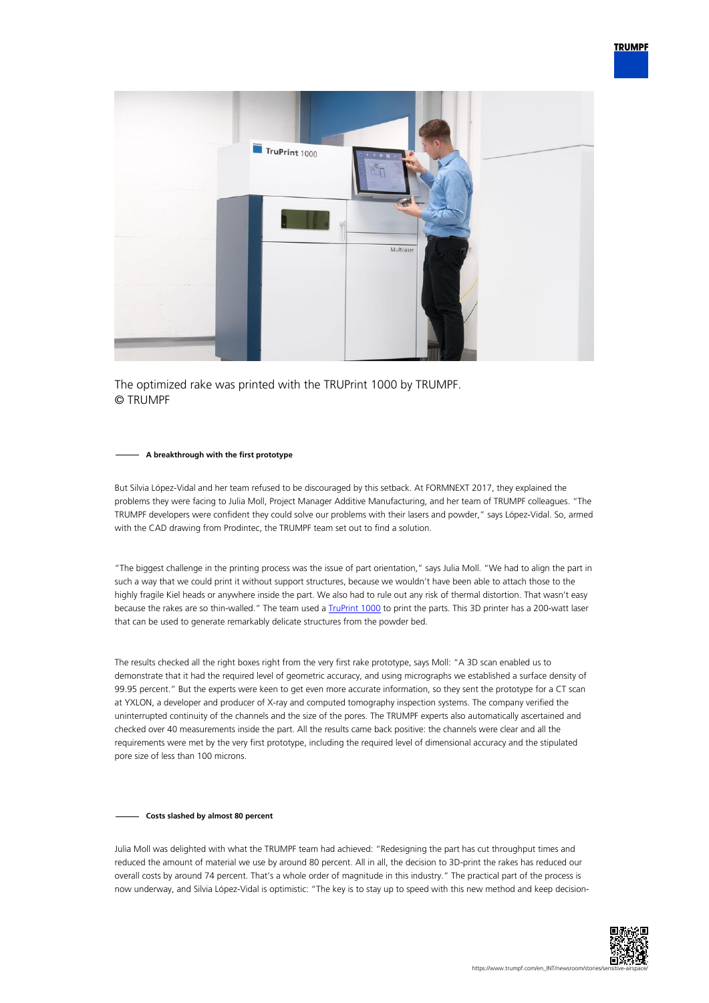

The optimized rake was printed with the TRUPrint 1000 by TRUMPF. © TRUMPF

## **A breakthrough with the first prototype**

But Silvia López-Vidal and her team refused to be discouraged by this setback. At FORMNEXT 2017, they explained the problems they were facing to Julia Moll, Project Manager Additive Manufacturing, and her team of TRUMPF colleagues. "The TRUMPF developers were confident they could solve our problems with their lasers and powder," says López-Vidal. So, armed with the CAD drawing from Prodintec, the TRUMPF team set out to find a solution.

"The biggest challenge in the printing process was the issue of part orientation," says Julia Moll. "We had to align the part in such a way that we could print it without support structures, because we wouldn't have been able to attach those to the highly fragile Kiel heads or anywhere inside the part. We also had to rule out any risk of thermal distortion. That wasn't easy because the rakes are so thin-walled." The team used a [TruPrint 1000](https://www.trumpf.com/en_INT/products/machines-systems/additive-production-systems/truprint-1000/) to print the parts. This 3D printer has a 200-watt laser that can be used to generate remarkably delicate structures from the powder bed.

The results checked all the right boxes right from the very first rake prototype, says Moll: "A 3D scan enabled us to demonstrate that it had the required level of geometric accuracy, and using micrographs we established a surface density of 99.95 percent." But the experts were keen to get even more accurate information, so they sent the prototype for a CT scan at YXLON, a developer and producer of X-ray and computed tomography inspection systems. The company verified the uninterrupted continuity of the channels and the size of the pores. The TRUMPF experts also automatically ascertained and checked over 40 measurements inside the part. All the results came back positive: the channels were clear and all the requirements were met by the very first prototype, including the required level of dimensional accuracy and the stipulated pore size of less than 100 microns.

## **Costs slashed by almost 80 percent**

Julia Moll was delighted with what the TRUMPF team had achieved: "Redesigning the part has cut throughput times and reduced the amount of material we use by around 80 percent. All in all, the decision to 3D-print the rakes has reduced our overall costs by around 74 percent. That's a whole order of magnitude in this industry." The practical part of the process is now underway, and Silvia López-Vidal is optimistic: "The key is to stay up to speed with this new method and keep decision-